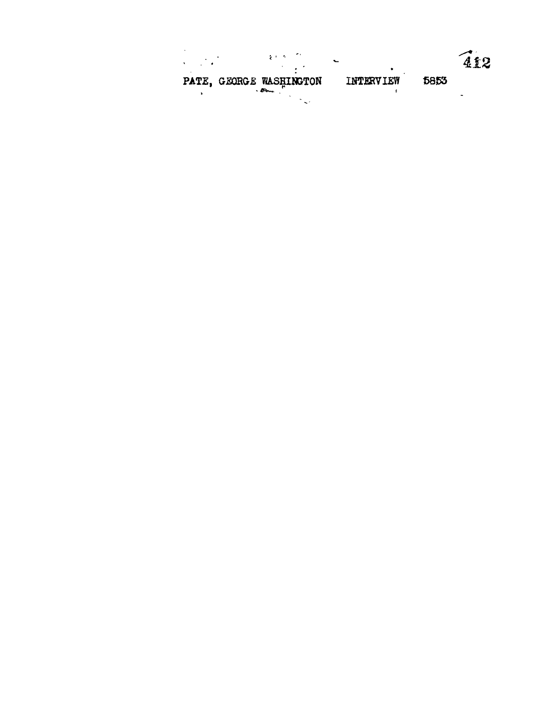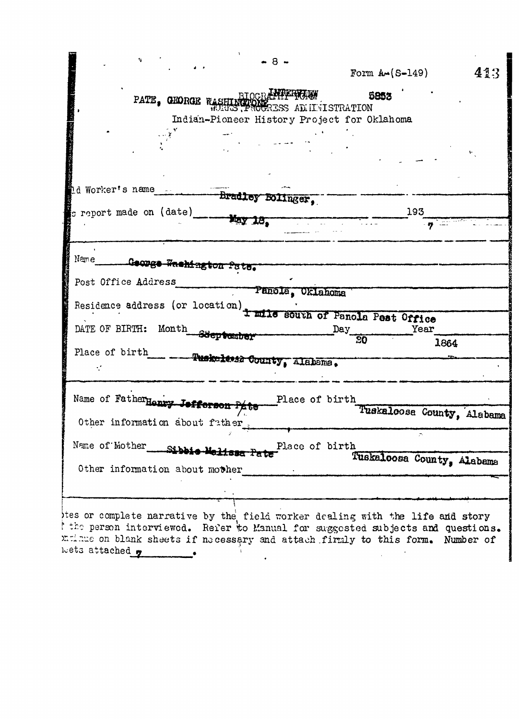|                                                                                                                                                                  | Form $A \sim (S-149)$      | 413  |
|------------------------------------------------------------------------------------------------------------------------------------------------------------------|----------------------------|------|
| NTER REAL<br>PATE, GEORGE RASHI<br><b>ERS PROGRESS AD ILYLSTRATION</b>                                                                                           | 5853                       |      |
| Indian-Pioneer History Project for Oklahoma                                                                                                                      |                            |      |
|                                                                                                                                                                  |                            |      |
|                                                                                                                                                                  |                            |      |
|                                                                                                                                                                  |                            |      |
|                                                                                                                                                                  |                            |      |
| d Worker's name<br>Bradley Bolinger,                                                                                                                             |                            |      |
| g report made on (date) $\frac{1}{2}$                                                                                                                            | 193                        |      |
|                                                                                                                                                                  | is share                   |      |
|                                                                                                                                                                  |                            |      |
| Name<br>George <del>Washington Pate.</del>                                                                                                                       |                            |      |
| Post Office Address                                                                                                                                              |                            |      |
| Panola, Oklahoma                                                                                                                                                 |                            |      |
| Residence address (or location) t mile south of Panola Pest Office                                                                                               |                            |      |
| DATE OF BIRTH: Month Steptember                                                                                                                                  | Year<br>Day                |      |
|                                                                                                                                                                  | $\overline{30}$            | 1864 |
| Place of birth<br>- Tuskaltuid County, Alabama.                                                                                                                  |                            |      |
|                                                                                                                                                                  |                            |      |
| Name of Father Henry Jofferson<br>Place of birth                                                                                                                 |                            |      |
|                                                                                                                                                                  |                            |      |
|                                                                                                                                                                  |                            |      |
| Other information about father                                                                                                                                   | Tuskaloosa County, Alabama |      |
|                                                                                                                                                                  |                            |      |
| Name of Mother<br>Place of birth<br>Sibbie-Malissa                                                                                                               |                            |      |
| Other information about mother                                                                                                                                   | Tuskaloosa County, Alabama |      |
|                                                                                                                                                                  |                            |      |
|                                                                                                                                                                  |                            |      |
| thes or complete narrative by the field worker dealing with the life and story                                                                                   |                            |      |
| I the person interviewed. Refer to Manual for suggested subjects and questions.<br>mulnue on blank sheets if necessary and attach firmly to this form. Number of |                            |      |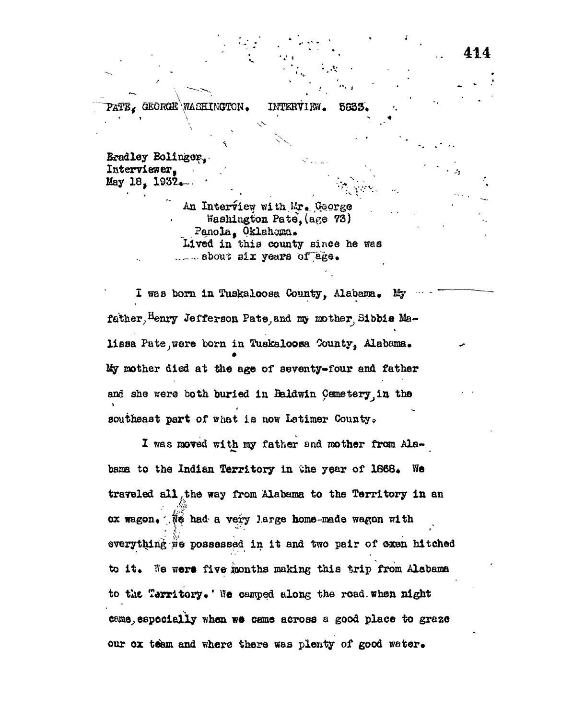GEORGE WASHINGTON. INTERVIEW. 5833.

Bradley Bolinger. Interviewer. May 18. 1932.

> An Interview with Mr. George Washington Pate, (age 73) Panola, Oklahoma. Lived in this county since he was  $\ldots$  about six years of age.

1  $\qquad \qquad$ 

I was born in Tuskaloosa County, Alabama. My father, Henry Jefferson Pate and my mother Sibbie Malissa Pate were born in Tuakaloosa County, Alabama. % raotaer died at the age of seventy»four and father and she were both buried in Baldwin Cemetery, in the southeast part of what is now Latimer County.

1 was moved with my father and mother from Alabama to the Indian Territory in the year of 1868. We trareled all .the way from Alabama to the Territory in an ox wagon,  $\mathcal{R}$  had a very large home-made wagon with everything we possessed in it and two pair of exen hitched to it. We were five months making this trip from Alabama to the Territory.' We camped along the road.when night came, especially when we came across a good place to graze our ox team and where there was plenty of good water.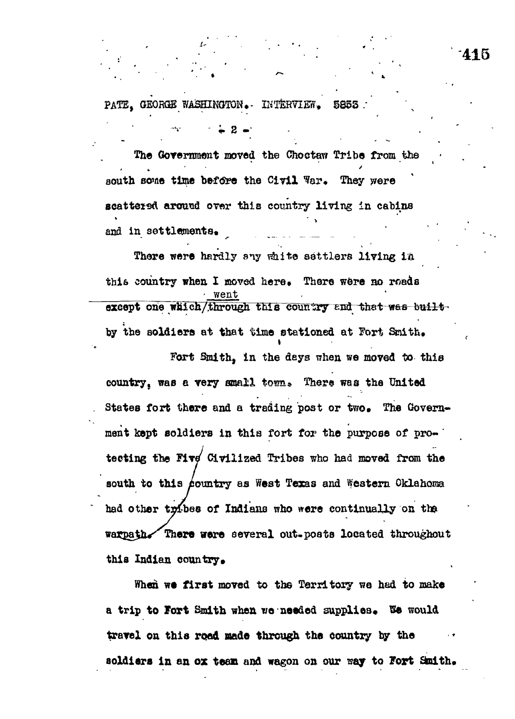PATE. GEORGE WASHINGTON. INTERVIEW. 5853

The Government moved the Choctaw Tribe from the south some time before the Civil War. They were scattered around over this country living in cabins and in settlements.

There were hardly any white sattlers living in this country when I moved here. There were no roads except one which/through this country and that was builtby the soldiers at that time stationed at Fort Smith.

Fort Smith, in the days when we moved to this country, was a very small town. There was the United States fort there and a trading post or two. The Government kept soldiers in this fort for the purpose of protecting the Five Civilized Tribes who had moved from the south to this country as West Texas and Western Oklahoma had other tribes of Indians who were continually on the warpath. There were several out-posts located throughout this Indian country.

When we first moved to the Territory we had to make a trip to Fort Smith when we needed supplies. We would travel on this road made through the country by the soldiers in an ox team and wagon on our way to Fort Smith.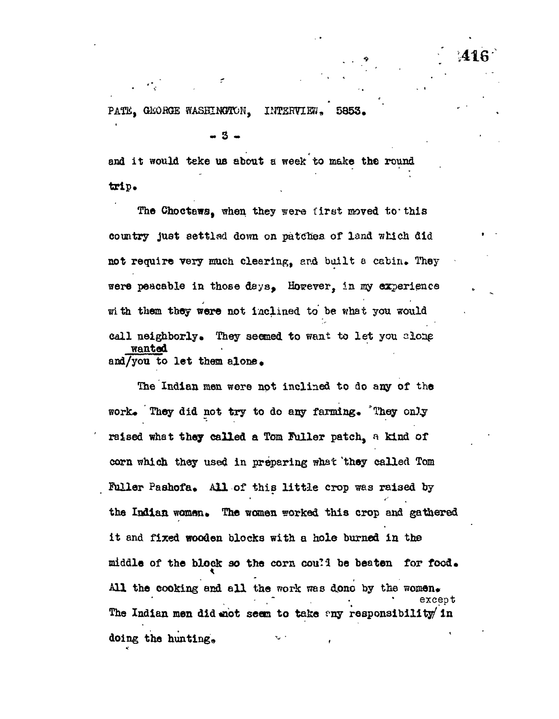**- 3 -**

and it would teke us about a week to make the round trlp»

The Choctaws, when they were first moved to this comtry just settled down on patches of land which did not require very much clearing, and built a cabin. They were peacable in those days. However, in my experience with them they were not inclined to be what you would call neighborly. They seemed to want to let you alone wanted and/you to let them alone •

The Indian men were not inclined to do any of the work. They did not try to do any farming. They only raised what they called a Tom Fuller patch, a kind of corn which they used in preparing what 'they called Tom Fuller Pashofa. All of this little crop was raised by the Indian woman. The women worked this crop and gathered it and fixed wooden blocks with a hole burned in the middle of the block so the corn cou?? be beaten for food. All the cooking and all the work was done by the women. The Indian men did mot seem to take any responsibility in The Indian men did the Indian men did the Indian men did the Indian men did the Indian men did the Indian men  $\epsilon$ 

doing the hunting\* - ,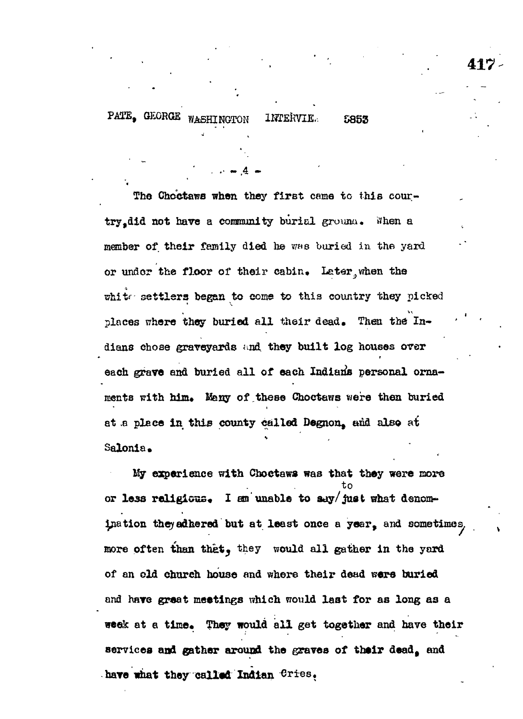5853

The Choctaws when they first came to this courtry did not have a community burial ground. When a member of their family died he was buried in the yard or under the floor of their cabin. Later when the white settlers began to come to this country they picked places where they buried all their dead. Then the Indians chose graveyards and they built log houses over each grave and buried all of each Indians personal ornaments with him. Many of these Choctaws were then buried at a place in this county called Degnon, and also at Salonia.

My experience with Choctaws was that they were more or less religious. I am unable to say/just what denomination they adhered but at least once a year, and sometimes, more often than that, they would all gather in the yard of an old church house and where their dead were buried and have great meetings which would last for as long as a week at a time. They would all get together and have their services and gather around the graves of their dead, and have what they called Indian Cries.

417.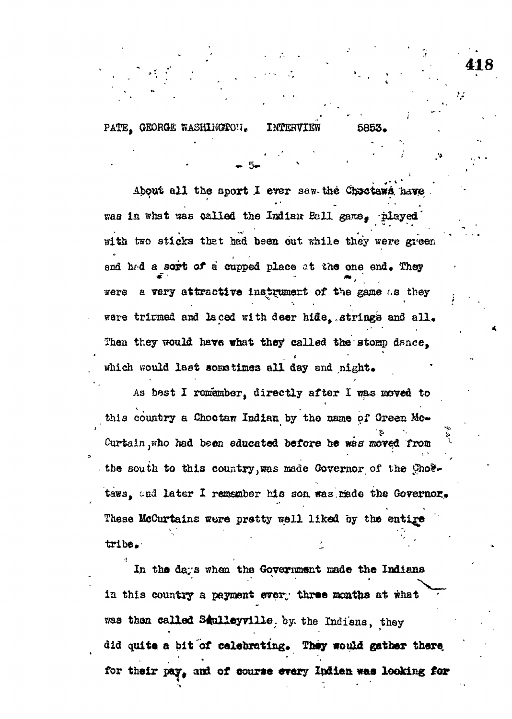PATE. GEORGE WASHINGTON.

About all the sport I ever saw the Choctaws have was in what was called the Indian Ball game. played with two sticks that had been out while they were green and had a sort of a cupped place at the one end. They a very attractive instrument of the game as they were were trirmed and laced with deer hide, strings and all. Then they would have what they called the stomp dance. which would last sometimes all day and night.

As best I remamber, directly after I was moved to this country a Chootaw Indian by the name of Green Mc-Curtain, who had been educated before he was moved from the south to this country, was made Governor of the Choetaws, and later I remember his son was made the Governor. These McCurtains were pretty well liked by the entire tribe.

In the days when the Government made the Indiana in this country a payment every three months at what was then called Saulleyville, by the Indians, they did quite a bit of celebrating. They would gather there for their pay, and of course every Indian was looking for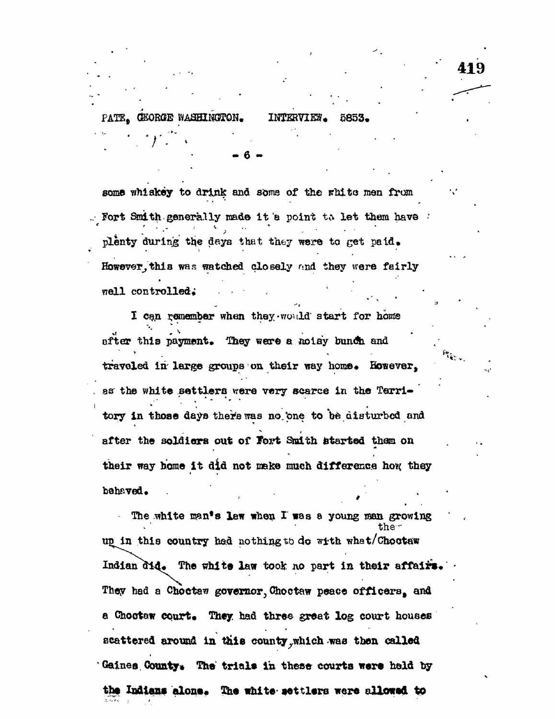GEORGE WASHINGTON. PATE.

INTERVIEW. 5853.

some whiskey to drink and some of the white men from Fort Smith generally made it a point to let them have plenty during the days that they were to get paid. However, this was watched closely and they were fairly well controlled.

I can remember when they would start for home after this payment. They were a noisy bunch and traveled in large groups on their way home. However, as the white settlers were very scarce in the Territory in those days there was no one to be disturbed and after the soldiers out of Fort Smith started them on their way home it did not make much difference how they behaved.

The white man's law when I was a young man growing the<sup>-</sup> up in this country had nothing to do with what/Choctaw Indian did. The white law took no part in their affairs. They had a Choctaw governor, Choctaw peace officers, and a Chostaw court. They had three great log court houses scattered around in this county, which was then called Gaines County. The trials in these courts were held by the Indians alone. The white settlers were allowed to